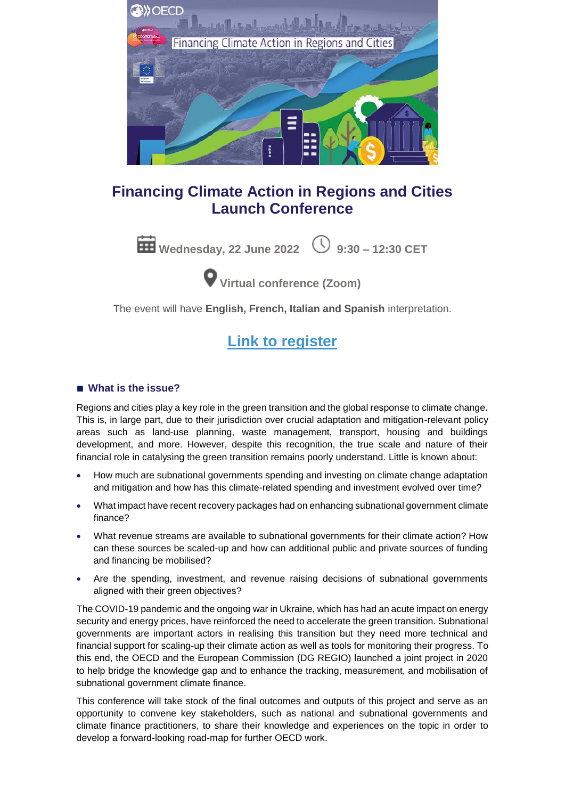

### **Financing Climate Action in Regions and Cities Launch Conference**



**Virtual conference (Zoom)**

The event will have **English, French, Italian and Spanish** interpretation.

## **[Link to register](https://meetoecd1.zoom.us/meeting/register/tJckduiqrj8oHtbvP-F2e5rmaFLuE5GvA7Tz?_x_zm_rtaid=jTDXXOL2Q4mdA0IdLHk8MQ.1651764787458.b4cc2b84f9606186616931a06a06199a&_x_zm_rhtaid=980)**

#### ■ **What is the issue?**

Regions and cities play a key role in the green transition and the global response to climate change. This is, in large part, due to their jurisdiction over crucial adaptation and mitigation-relevant policy areas such as land-use planning, waste management, transport, housing and buildings development, and more. However, despite this recognition, the true scale and nature of their financial role in catalysing the green transition remains poorly understand. Little is known about:

- How much are subnational governments spending and investing on climate change adaptation and mitigation and how has this climate-related spending and investment evolved over time?
- What impact have recent recovery packages had on enhancing subnational government climate finance?
- What revenue streams are available to subnational governments for their climate action? How can these sources be scaled-up and how can additional public and private sources of funding and financing be mobilised?
- Are the spending, investment, and revenue raising decisions of subnational governments aligned with their green objectives?

The COVID-19 pandemic and the ongoing war in Ukraine, which has had an acute impact on energy security and energy prices, have reinforced the need to accelerate the green transition. Subnational governments are important actors in realising this transition but they need more technical and financial support for scaling-up their climate action as well as tools for monitoring their progress. To this end, the OECD and the European Commission (DG REGIO) launched a joint project in 2020 to help bridge the knowledge gap and to enhance the tracking, measurement, and mobilisation of subnational government climate finance.

This conference will take stock of the final outcomes and outputs of this project and serve as an opportunity to convene key stakeholders, such as national and subnational governments and climate finance practitioners, to share their knowledge and experiences on the topic in order to develop a forward-looking road-map for further OECD work.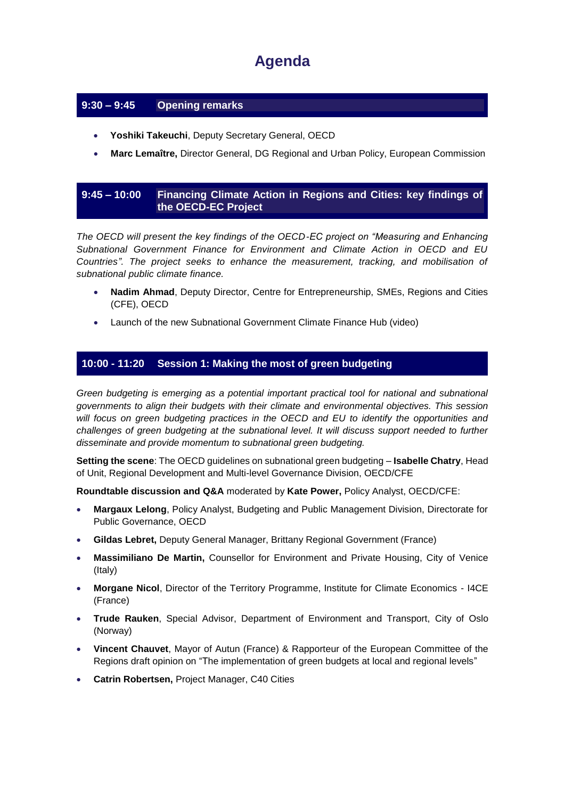# **Agenda**

#### **9:30 – 9:45 Opening remarks**

- **Yoshiki Takeuchi**, Deputy Secretary General, OECD
- **Marc Lemaître,** Director General, DG Regional and Urban Policy, European Commission

#### **9:45 – 10:00 Financing Climate Action in Regions and Cities: key findings of the OECD-EC Project**

*The OECD will present the key findings of the OECD-EC project on "Measuring and Enhancing Subnational Government Finance for Environment and Climate Action in OECD and EU Countries". The project seeks to enhance the measurement, tracking, and mobilisation of subnational public climate finance.*

- **Nadim Ahmad**, Deputy Director, Centre for Entrepreneurship, SMEs, Regions and Cities (CFE), OECD
- Launch of the new Subnational Government Climate Finance Hub (video)

#### **10:00 - 11:20 Session 1: Making the most of green budgeting**

*Green budgeting is emerging as a potential important practical tool for national and subnational governments to align their budgets with their climate and environmental objectives. This session will focus on green budgeting practices in the OECD and EU to identify the opportunities and*  challenges of green budgeting at the subnational level. It will discuss support needed to further *disseminate and provide momentum to subnational green budgeting.*

**Setting the scene**: The OECD guidelines on subnational green budgeting – **Isabelle Chatry**, Head of Unit, Regional Development and Multi-level Governance Division, OECD/CFE

**Roundtable discussion and Q&A** moderated by **Kate Power,** Policy Analyst, OECD/CFE:

- **Margaux Lelong**, Policy Analyst, Budgeting and Public Management Division, Directorate for Public Governance, OECD
- **Gildas Lebret,** Deputy General Manager, Brittany Regional Government (France)
- **Massimiliano De Martin,** Counsellor for Environment and Private Housing, City of Venice (Italy)
- **Morgane Nicol**, Director of the Territory Programme, Institute for Climate Economics I4CE (France)
- **Trude Rauken**, Special Advisor, Department of Environment and Transport, City of Oslo (Norway)
- **Vincent Chauvet**, Mayor of Autun (France) & Rapporteur of the European Committee of the Regions draft opinion on "The implementation of green budgets at local and regional levels"
- **Catrin Robertsen,** Project Manager, C40 Cities